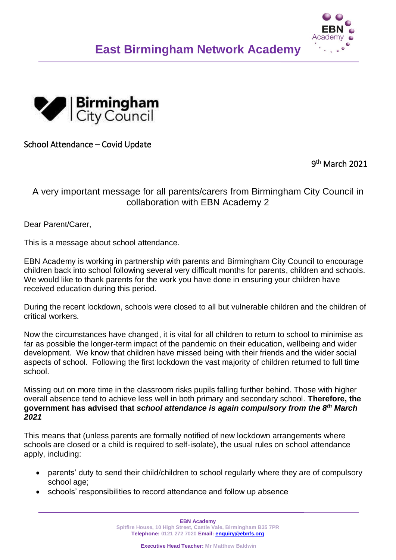



School Attendance – Covid Update

9<sup>th</sup> March 2021

A very important message for all parents/carers from Birmingham City Council in collaboration with EBN Academy 2

Dear Parent/Carer,

This is a message about school attendance.

EBN Academy is working in partnership with parents and Birmingham City Council to encourage children back into school following several very difficult months for parents, children and schools. We would like to thank parents for the work you have done in ensuring your children have received education during this period.

During the recent lockdown, schools were closed to all but vulnerable children and the children of critical workers.

Now the circumstances have changed, it is vital for all children to return to school to minimise as far as possible the longer-term impact of the pandemic on their education, wellbeing and wider development. We know that children have missed being with their friends and the wider social aspects of school. Following the first lockdown the vast majority of children returned to full time school.

Missing out on more time in the classroom risks pupils falling further behind. Those with higher overall absence tend to achieve less well in both primary and secondary school. **Therefore, the government has advised that** *school attendance is again compulsory from the 8th March 2021*

This means that (unless parents are formally notified of new lockdown arrangements where schools are closed or a child is required to self-isolate), the usual rules on school attendance apply, including:

- parents' duty to send their child/children to school regularly where they are of compulsory school age;
- schools' responsibilities to record attendance and follow up absence